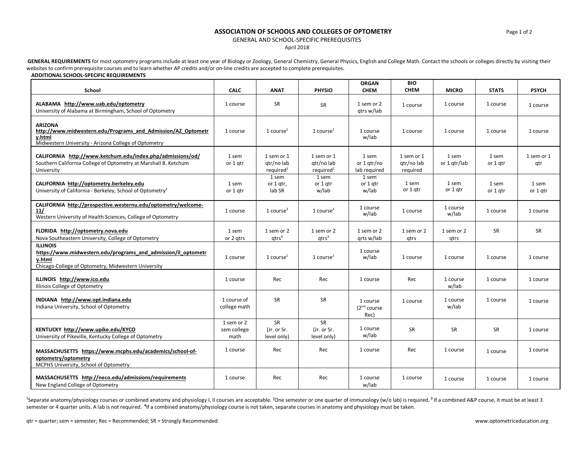## **ASSOCIATION OF SCHOOLS AND COLLEGES OF OPTOMETRY Page 1 of 2** Page 1 of 2

GENERAL AND SCHOOL-SPECIFIC PREREQUISITES

April 2018

GENERAL REQUIREMENTS for most optometry programs include at least one year of Biology or Zoology, General Chemistry, General Physics, English and College Math. Contact the schools or colleges directly by visiting their websites to confirm prerequisite courses and to learn whether AP credits and/or on-line credits are accepted to complete prerequisites.

## **ADDITIONAL SCHOOL-SPECIFIC REQUIREMENTS**

| School                                                                                                                                            | <b>CALC</b>                       | <b>ANAT</b>                                       | <b>PHYSIO</b>                                     | <b>ORGAN</b><br><b>CHEM</b>                  | <b>BIO</b><br><b>CHEM</b>            | <b>MICRO</b>          | <b>STATS</b>      | <b>PSYCH</b>      |
|---------------------------------------------------------------------------------------------------------------------------------------------------|-----------------------------------|---------------------------------------------------|---------------------------------------------------|----------------------------------------------|--------------------------------------|-----------------------|-------------------|-------------------|
| ALABAMA http://www.uab.edu/optometry<br>University of Alabama at Birmingham, School of Optometry                                                  | 1 course                          | <b>SR</b>                                         | SR                                                | 1 sem or 2<br>gtrs w/lab                     | 1 course                             | 1 course              | 1 course          | 1 course          |
| <b>ARIZONA</b><br>http://www.midwestern.edu/Programs and Admission/AZ Optometr<br>y.html<br>Midwestern University - Arizona College of Optometry  | 1 course                          | 1 course $1$                                      | 1 course $1$                                      | 1 course<br>w/lab                            | 1 course                             | 1 course              | 1 course          | 1 course          |
| CALIFORNIA http://www.ketchum.edu/index.php/admissions/od/<br>Southern California College of Optometry at Marshall B. Ketchum<br>University       | 1 sem<br>or 1 gtr                 | 1 sem or 1<br>qtr/no lab<br>required <sup>1</sup> | 1 sem or 1<br>gtr/no lab<br>required <sup>1</sup> | 1 sem<br>or 1 gtr/no<br>lab required         | 1 sem or 1<br>gtr/no lab<br>required | 1 sem<br>or 1 gtr/lab | 1 sem<br>or 1 gtr | 1 sem or 1<br>qtr |
| CALIFORNIA http://optometry.berkeley.edu<br>University of California - Berkeley, School of Optometry <sup>2</sup>                                 | 1 sem<br>or 1 gtr                 | 1 sem<br>or 1 gtr,<br>lab SR                      | 1 sem<br>or 1 gtr<br>w/lab                        | 1 sem<br>or 1 gtr<br>w/lab                   | 1 sem<br>or 1 gtr                    | 1 sem<br>or 1 gtr     | 1 sem<br>or 1 gtr | 1 sem<br>or 1 gtr |
| CALIFORNIA http://prospective.westernu.edu/optometry/welcome-<br>11/<br>Western University of Health Sciences, College of Optometry               | 1 course                          | 1 course <sup>3</sup>                             | 1 course $3$                                      | 1 course<br>w/lab                            | 1 course                             | 1 course<br>w/lab     | 1 course          | 1 course          |
| FLORIDA http://optometry.nova.edu<br>Nova Southeastern University, College of Optometry                                                           | 1 sem<br>or 2 gtrs                | 1 sem or 2<br>$q$ trs <sup>4</sup>                | 1 sem or 2<br>$q$ trs <sup>4</sup>                | 1 sem or 2<br>grts w/lab                     | 1 sem or 2<br>qtrs                   | 1 sem or 2<br>qtrs    | <b>SR</b>         | SR                |
| <b>ILLINOIS</b><br>https://www.midwestern.edu/programs and admission/il optometr<br>y.html<br>Chicago College of Optometry, Midwestern University | 1 course                          | $1$ course <sup>1</sup>                           | 1 course $1$                                      | 1 course<br>w/lab                            | 1 course                             | 1 course              | 1 course          | 1 course          |
| ILLINOIS http://www.ico.edu<br>Illinois College of Optometry                                                                                      | 1 course                          | Rec                                               | Rec                                               | 1 course                                     | Rec                                  | 1 course<br>w/lab     | 1 course          | 1 course          |
| INDIANA http://www.opt.indiana.edu<br>Indiana University, School of Optometry                                                                     | 1 course of<br>college math       | <b>SR</b>                                         | <b>SR</b>                                         | 1 course<br>(2 <sup>nd</sup> course)<br>Rec) | 1 course                             | 1 course<br>w/lab     | 1 course          | 1 course          |
| KENTUCKY http://www.upike.edu/KYCO<br>University of Pikeville, Kentucky College of Optometry                                                      | 1 sem or 2<br>sem college<br>math | SR<br>(Jr. or Sr.<br>level only)                  | SR<br>(Jr. or Sr.<br>level only)                  | 1 course<br>w/lab                            | SR                                   | SR                    | SR                | 1 course          |
| MASSACHUSETTS https://www.mcphs.edu/academics/school-of-<br>optometry/optometry<br>MCPHS University, School of Optometry                          | 1 course                          | Rec                                               | Rec                                               | 1 course                                     | Rec                                  | 1 course              | 1 course          | 1 course          |
| MASSACHUSETTS http://neco.edu/admissions/requirements<br>New England College of Optometry                                                         | 1 course                          | Rec                                               | Rec                                               | 1 course<br>w/lab                            | 1 course                             | 1 course              | 1 course          | 1 course          |

<sup>1</sup>Separate anatomy/physiology courses or combined anatomy and physiology I, II courses are acceptable. <sup>2</sup>One semester or one quarter of immunology (w/o lab) is required. <sup>3</sup> If a combined A&P course, it must be at least semester or 4 quarter units. A lab is not required. <sup>4</sup>If a combined anatomy/physiology course is not taken, separate courses in anatomy and physiology must be taken.